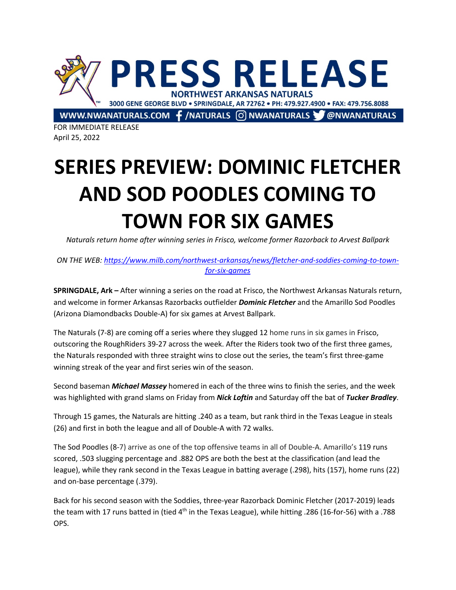

FOR IMMEDIATE RELEASE April 25, 2022

## **SERIES PREVIEW: DOMINIC FLETCHER AND SOD POODLES COMING TO TOWN FOR SIX GAMES**

*Naturals return home after winning series in Frisco, welcome former Razorback to Arvest Ballpark*

*ON THE WEB: https://www.milb.com/northwest-arkansas/news/fletcher-and-soddies-coming-to-townfor-six-games*

**SPRINGDALE, Ark –** After winning a series on the road at Frisco, the Northwest Arkansas Naturals return, and welcome in former Arkansas Razorbacks outfielder *Dominic Fletcher* and the Amarillo Sod Poodles (Arizona Diamondbacks Double-A) for six games at Arvest Ballpark.

The Naturals (7-8) are coming off a series where they slugged 12 home runs in six games in Frisco, outscoring the RoughRiders 39-27 across the week. After the Riders took two of the first three games, the Naturals responded with three straight wins to close out the series, the team's first three-game winning streak of the year and first series win of the season.

Second baseman *Michael Massey* homered in each of the three wins to finish the series, and the week was highlighted with grand slams on Friday from *Nick Loftin* and Saturday off the bat of *Tucker Bradley*.

Through 15 games, the Naturals are hitting .240 as a team, but rank third in the Texas League in steals (26) and first in both the league and all of Double-A with 72 walks.

The Sod Poodles (8-7) arrive as one of the top offensive teams in all of Double-A. Amarillo's 119 runs scored, .503 slugging percentage and .882 OPS are both the best at the classification (and lead the league), while they rank second in the Texas League in batting average (.298), hits (157), home runs (22) and on-base percentage (.379).

Back for his second season with the Soddies, three-year Razorback Dominic Fletcher (2017-2019) leads the team with 17 runs batted in (tied 4<sup>th</sup> in the Texas League), while hitting .286 (16-for-56) with a .788 OPS.